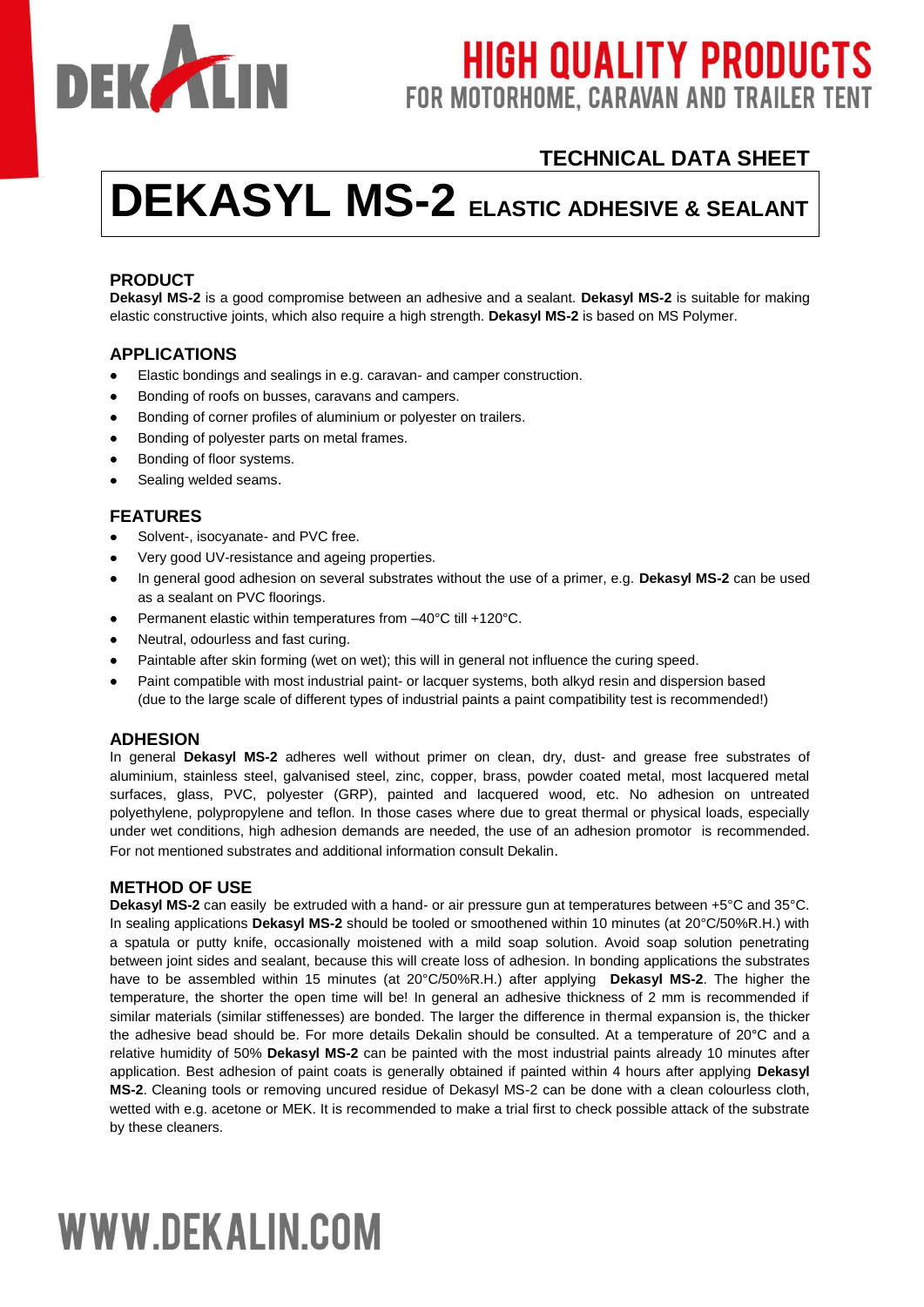

# **HIGH QUALITY PRODUCTS** FOR MOTORHOME, CARAVAN AND TRAILER TENT

# **TECHNICAL DATA SHEET**

# **DEKASYL MS-2 ELASTIC ADHESIVE & SEALANT**

# **PRODUCT**

**Dekasyl MS-2** is a good compromise between an adhesive and a sealant. **Dekasyl MS-2** is suitable for making elastic constructive joints, which also require a high strength. **Dekasyl MS-2** is based on MS Polymer.

# **APPLICATIONS**

- $\bullet$ Elastic bondings and sealings in e.g. caravan- and camper construction.
- Bonding of roofs on busses, caravans and campers.
- Bonding of corner profiles of aluminium or polyester on trailers.
- Bonding of polyester parts on metal frames.  $\bullet$
- $\bullet$ Bonding of floor systems.
- $\bullet$ Sealing welded seams.

#### **FEATURES**

- Solvent-, isocyanate- and PVC free.  $\bullet$
- Very good UV-resistance and ageing properties.
- In general good adhesion on several substrates without the use of a primer, e.g. **Dekasyl MS-2** can be used as a sealant on PVC floorings.
- Permanent elastic within temperatures from –40°C till +120°C.
- Neutral, odourless and fast curing.  $\bullet$
- Paintable after skin forming (wet on wet); this will in general not influence the curing speed.  $\bullet$
- Paint compatible with most industrial paint- or lacquer systems, both alkyd resin and dispersion based (due to the large scale of different types of industrial paints a paint compatibility test is recommended!)

#### **ADHESION**

In general **Dekasyl MS-2** adheres well without primer on clean, dry, dust- and grease free substrates of aluminium, stainless steel, galvanised steel, zinc, copper, brass, powder coated metal, most lacquered metal surfaces, glass, PVC, polyester (GRP), painted and lacquered wood, etc. No adhesion on untreated polyethylene, polypropylene and teflon. In those cases where due to great thermal or physical loads, especially under wet conditions, high adhesion demands are needed, the use of an adhesion promotor is recommended. For not mentioned substrates and additional information consult Dekalin.

# **METHOD OF USE**

**Dekasyl MS-2** can easily be extruded with a hand- or air pressure gun at temperatures between +5°C and 35°C. In sealing applications **Dekasyl MS-2** should be tooled or smoothened within 10 minutes (at 20°C/50%R.H.) with a spatula or putty knife, occasionally moistened with a mild soap solution. Avoid soap solution penetrating between joint sides and sealant, because this will create loss of adhesion. In bonding applications the substrates have to be assembled within 15 minutes (at 20°C/50%R.H.) after applying **Dekasyl MS-2**. The higher the temperature, the shorter the open time will be! In general an adhesive thickness of 2 mm is recommended if similar materials (similar stiffenesses) are bonded. The larger the difference in thermal expansion is, the thicker the adhesive bead should be. For more details Dekalin should be consulted. At a temperature of 20°C and a relative humidity of 50% **Dekasyl MS-2** can be painted with the most industrial paints already 10 minutes after application. Best adhesion of paint coats is generally obtained if painted within 4 hours after applying **Dekasyl MS-2**. Cleaning tools or removing uncured residue of Dekasyl MS-2 can be done with a clean colourless cloth, wetted with e.g. acetone or MEK. It is recommended to make a trial first to check possible attack of the substrate by these cleaners.

# **WWW.DEKALIN.COM**